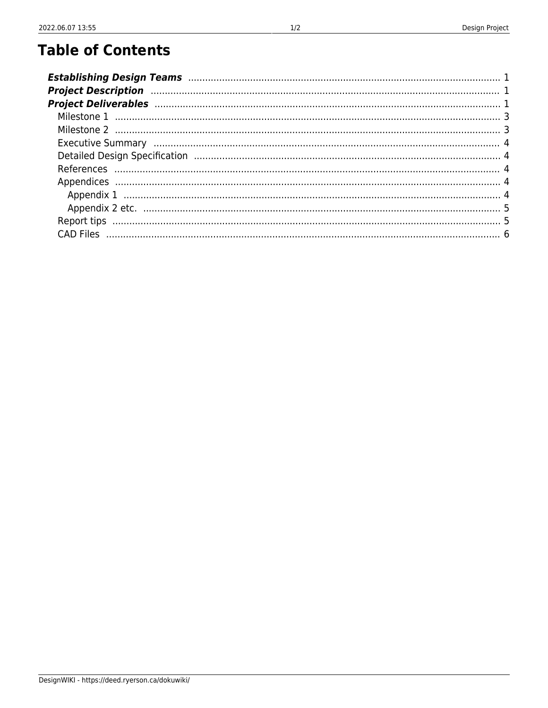# **Table of Contents**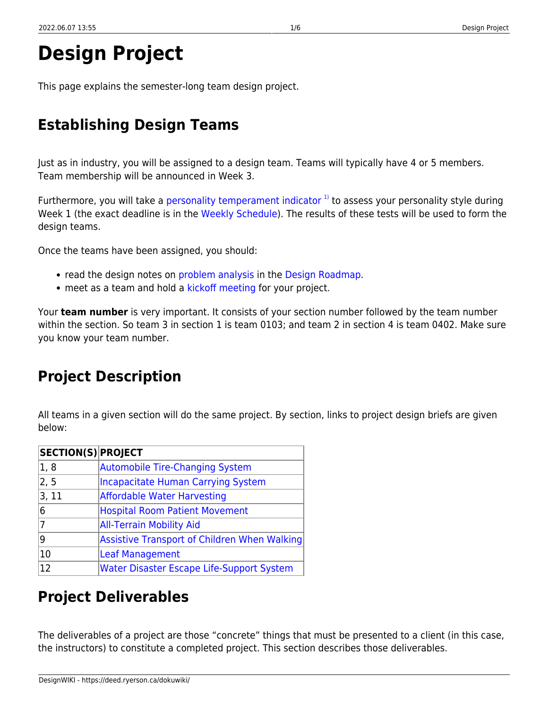This page explains the semester-long team design project.

# <span id="page-2-0"></span>**Establishing Design Teams**

Just as in industry, you will be assigned to a design team. Teams will typically have 4 or 5 members. Team membership will be announced in Week 3.

Furthermore, you will take a [personality temperament indicator](https://deed.ryerson.ca/dokuwiki/teaching:using_salustri_s_pti)  $1$ <sup>1</sup> to assess your personality style during Week 1 (the exact deadline is in the [Weekly Schedule\)](https://deed.ryerson.ca/dokuwiki/mec325:weekly_schedule). The results of these tests will be used to form the design teams.

Once the teams have been assigned, you should:

- read the design notes on [problem analysis](https://deed.ryerson.ca/dokuwiki/design:problem_analysis) in the [Design Roadmap](https://deed.ryerson.ca/dokuwiki/design:design_roadmap).
- meet as a team and hold a [kickoff meeting](https://deed.ryerson.ca/dokuwiki/design:kickoff_meeting) for your project.

Your **team number** is very important. It consists of your section number followed by the team number within the section. So team 3 in section 1 is team 0103; and team 2 in section 4 is team 0402. Make sure you know your team number.

# <span id="page-2-1"></span>**Project Description**

All teams in a given section will do the same project. By section, links to project design briefs are given below:

| <b>SECTION(S) PROJECT</b> |                                                  |
|---------------------------|--------------------------------------------------|
| 1, 8                      | Automobile Tire-Changing System                  |
| 2, 5                      | <b>Incapacitate Human Carrying System</b>        |
| $ 3,11\rangle$            | <b>Affordable Water Harvesting</b>               |
| 6                         | <b>Hospital Room Patient Movement</b>            |
| 17                        | <b>All-Terrain Mobility Aid</b>                  |
| ۱g                        | Assistive Transport of Children When Walking     |
| 10                        | <b>Leaf Management</b>                           |
| $ 12\rangle$              | <b>Water Disaster Escape Life-Support System</b> |

# <span id="page-2-2"></span>**Project Deliverables**

The deliverables of a project are those "concrete" things that must be presented to a client (in this case, the instructors) to constitute a completed project. This section describes those deliverables.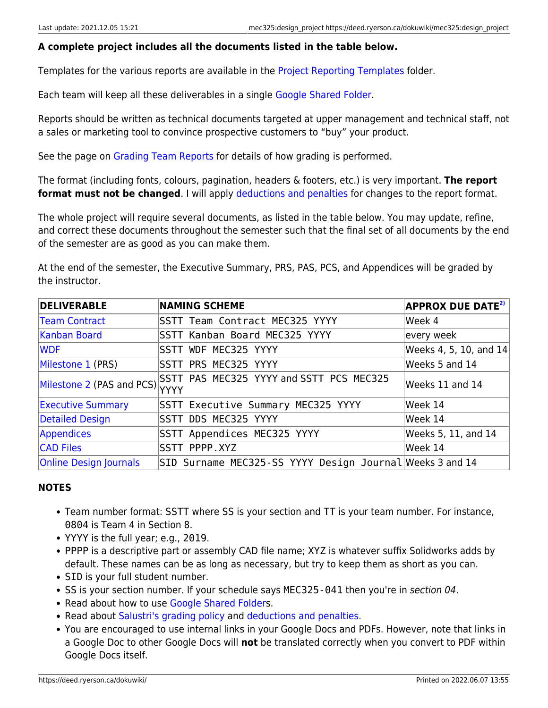### **A complete project includes all the documents listed in the table below.**

Templates for the various reports are available in the [Project Reporting Templates](https://drive.google.com/drive/folders/1RjjXAmRqMHlS1RQLTfyqm04YFY1IKyVz?usp=sharing) folder.

Each team will keep all these deliverables in a single [Google Shared Folder](https://deed.ryerson.ca/dokuwiki/teaching:google_shared_folder).

Reports should be written as technical documents targeted at upper management and technical staff, not a sales or marketing tool to convince prospective customers to "buy" your product.

See the page on [Grading Team Reports](https://deed.ryerson.ca/dokuwiki/teaching:grading_team_reports) for details of how grading is performed.

The format (including fonts, colours, pagination, headers & footers, etc.) is very important. **The report format must not be changed**. I will apply [deductions and penalties](https://deed.ryerson.ca/dokuwiki/teaching:salustri_s_grading_policy#deductions_and_penalties) for changes to the report format.

The whole project will require several documents, as listed in the table below. You may update, refine, and correct these documents throughout the semester such that the final set of all documents by the end of the semester are as good as you can make them.

At the end of the semester, the Executive Summary, PRS, PAS, PCS, and Appendices will be graded by the instructor.

| <b>DELIVERABLE</b>             | <b>NAMING SCHEME</b>                                     | <b>APPROX DUE DATE<sup>2)</sup></b> |
|--------------------------------|----------------------------------------------------------|-------------------------------------|
| <b>Team Contract</b>           | <b>SSTT Team Contract MEC325 YYYY</b>                    | Week 4                              |
| Kanban Board                   | SSTT Kanban Board MEC325 YYYY                            | every week                          |
| <b>WDF</b>                     | SSTT WDF MEC325 YYYY                                     | Weeks 4, 5, 10, and $14$            |
| Milestone 1 (PRS)              | SSTT PRS MEC325 YYYY                                     | Weeks 5 and 14                      |
| Milestone 2 (PAS and PCS) YYYY | SSTT PAS MEC325 YYYY and SSTT PCS MEC325                 | Weeks 11 and 14                     |
| <b>Executive Summary</b>       | SSTT Executive Summary MEC325 YYYY                       | Week 14                             |
| Detailed Design                | <b>SSTT DDS MEC325 YYYY</b>                              | Week 14                             |
| Appendices                     | SSTT Appendices MEC325 YYYY                              | Weeks 5, 11, and 14                 |
| <b>CAD Files</b>               | SSTT PPPP.XYZ                                            | Week 14                             |
| <b>Online Design Journals</b>  | SID Surname MEC325-SS YYYY Design Journal Weeks 3 and 14 |                                     |

## **NOTES**

- Team number format: SSTT where SS is your section and TT is your team number. For instance, 0804 is Team 4 in Section 8.
- YYYY is the full year; e.g., 2019.
- PPPP is a descriptive part or assembly CAD file name; XYZ is whatever suffix Solidworks adds by default. These names can be as long as necessary, but try to keep them as short as you can.
- SID is your full student number.
- SS is your section number. If your schedule says MEC325-041 then you're in section 04.
- Read about how to use [Google Shared Folder](https://deed.ryerson.ca/dokuwiki/teaching:google_shared_folder)s.
- Read about [Salustri's grading policy](https://deed.ryerson.ca/dokuwiki/teaching:salustri_s_grading_policy) and [deductions and penalties.](https://deed.ryerson.ca/dokuwiki/teaching:salustri_s_grading_policy#deductions_and_penalties)
- <span id="page-3-0"></span>You are encouraged to use internal links in your Google Docs and PDFs. However, note that links in a Google Doc to other Google Docs will **not** be translated correctly when you convert to PDF within Google Docs itself.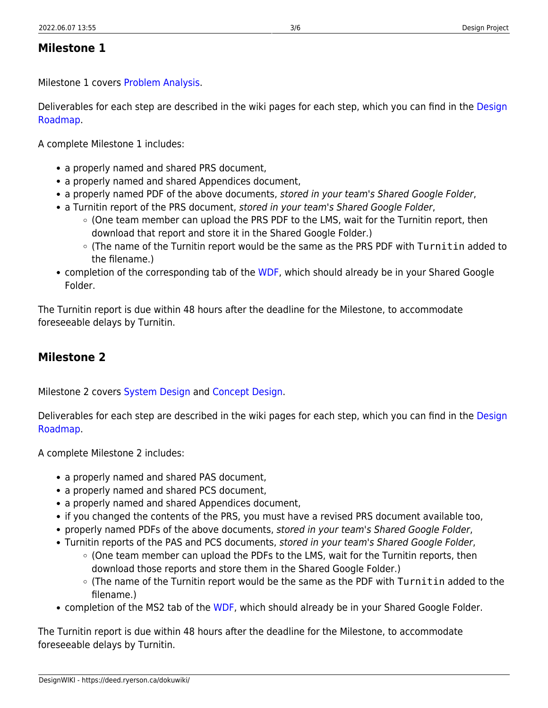## <span id="page-4-0"></span>**Milestone 1**

Milestone 1 covers [Problem Analysis](https://deed.ryerson.ca/dokuwiki/design:problem_analysis).

Deliverables for each step are described in the wiki pages for each step, which you can find in the [Design](https://deed.ryerson.ca/dokuwiki/design:design_roadmap) [Roadmap.](https://deed.ryerson.ca/dokuwiki/design:design_roadmap)

A complete Milestone 1 includes:

- a properly named and shared PRS document,
- a properly named and shared Appendices document,
- a properly named PDF of the above documents, stored in your team's Shared Google Folder,
- a Turnitin report of the PRS document, stored in your team's Shared Google Folder,
	- (One team member can upload the PRS PDF to the LMS, wait for the Turnitin report, then download that report and store it in the Shared Google Folder.)
	- $\circ$  (The name of the Turnitin report would be the same as the PRS PDF with Turnitin added to the filename.)
- completion of the corresponding tab of the [WDF,](https://deed.ryerson.ca/dokuwiki/design:wdf) which should already be in your Shared Google Folder.

The Turnitin report is due within 48 hours after the deadline for the Milestone, to accommodate foreseeable delays by Turnitin.

# <span id="page-4-2"></span><span id="page-4-1"></span>**Milestone 2**

Milestone 2 covers [System Design](https://deed.ryerson.ca/dokuwiki/design:system_design) and [Concept Design.](https://deed.ryerson.ca/dokuwiki/design:concept_design)

Deliverables for each step are described in the wiki pages for each step, which you can find in the [Design](https://deed.ryerson.ca/dokuwiki/design:design_roadmap) [Roadmap.](https://deed.ryerson.ca/dokuwiki/design:design_roadmap)

A complete Milestone 2 includes:

- a properly named and shared PAS document,
- a properly named and shared PCS document,
- a properly named and shared Appendices document,
- if you changed the contents of the PRS, you must have a revised PRS document available too,
- properly named PDFs of the above documents, stored in your team's Shared Google Folder,
- Turnitin reports of the PAS and PCS documents, stored in your team's Shared Google Folder,
	- (One team member can upload the PDFs to the LMS, wait for the Turnitin reports, then download those reports and store them in the Shared Google Folder.)
	- $\circ$  (The name of the Turnitin report would be the same as the PDF with Turnitin added to the filename.)
- completion of the MS2 tab of the [WDF,](https://deed.ryerson.ca/dokuwiki/design:wdf) which should already be in your Shared Google Folder.

<span id="page-4-3"></span>The Turnitin report is due within 48 hours after the deadline for the Milestone, to accommodate foreseeable delays by Turnitin.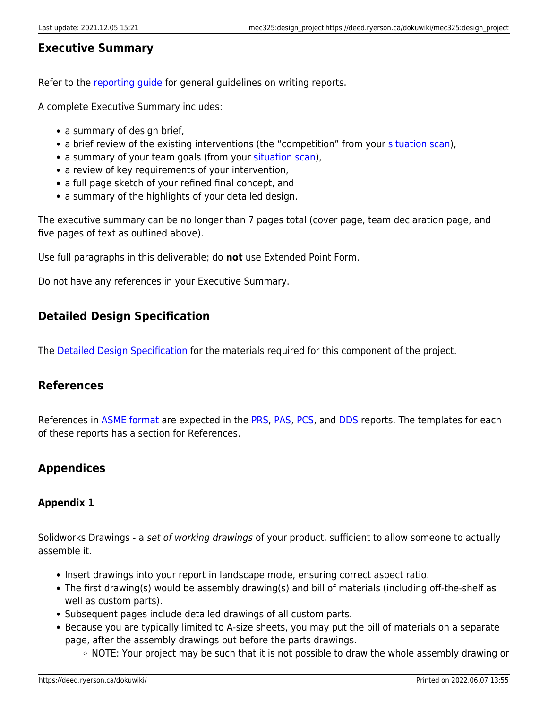## <span id="page-5-0"></span>**Executive Summary**

Refer to the [reporting guide](https://deed.ryerson.ca/dokuwiki/design:reporting_guide) for general guidelines on writing reports.

A complete Executive Summary includes:

- a summary of design brief,
- a brief review of the existing interventions (the "competition" from your [situation scan](https://deed.ryerson.ca/dokuwiki/design:situation_scan)),
- a summary of your team goals (from your [situation scan\)](https://deed.ryerson.ca/dokuwiki/design:situation_scan),
- a review of key requirements of your intervention,
- a full page sketch of your refined final concept, and
- a summary of the highlights of your detailed design.

The executive summary can be no longer than 7 pages total (cover page, team declaration page, and five pages of text as outlined above).

Use full paragraphs in this deliverable; do **not** use Extended Point Form.

Do not have any references in your Executive Summary.

## <span id="page-5-5"></span><span id="page-5-1"></span>**Detailed Design Specification**

The [Detailed Design Specification](https://deed.ryerson.ca/dokuwiki/design:detailed_design_specification) for the materials required for this component of the project.

## <span id="page-5-2"></span>**References**

References in [ASME format](https://libraryguides.missouri.edu/mae/asmecitation) are expected in the [PRS](https://deed.ryerson.ca/dokuwiki/design:prs), [PAS](https://deed.ryerson.ca/dokuwiki/design:pas), [PCS,](https://deed.ryerson.ca/dokuwiki/design:pcs) and [DDS](https://deed.ryerson.ca/dokuwiki/design:dds) reports. The templates for each of these reports has a section for References.

## <span id="page-5-6"></span><span id="page-5-3"></span>**Appendices**

## <span id="page-5-4"></span>**Appendix 1**

Solidworks Drawings - a set of working drawings of your product, sufficient to allow someone to actually assemble it.

- Insert drawings into your report in landscape mode, ensuring correct aspect ratio.
- The first drawing(s) would be assembly drawing(s) and bill of materials (including off-the-shelf as well as custom parts).
- Subsequent pages include detailed drawings of all custom parts.
- Because you are typically limited to A-size sheets, you may put the bill of materials on a separate page, after the assembly drawings but before the parts drawings.
	- $\circ$  NOTE: Your project may be such that it is not possible to draw the whole assembly drawing or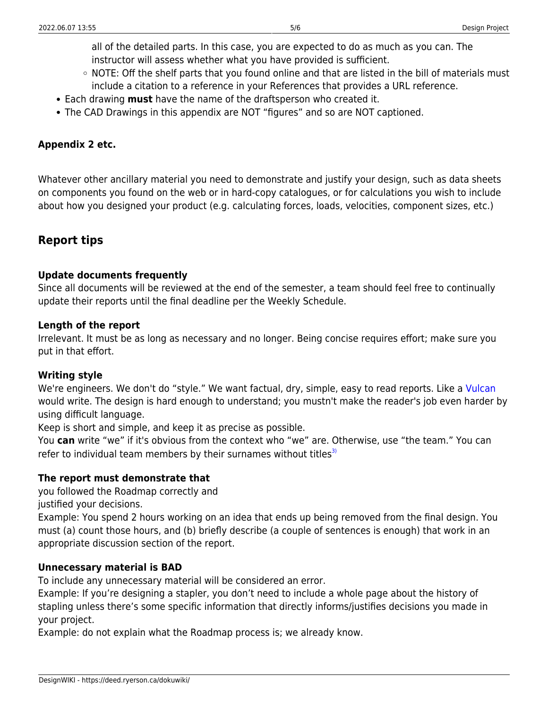all of the detailed parts. In this case, you are expected to do as much as you can. The instructor will assess whether what you have provided is sufficient.

- NOTE: Off the shelf parts that you found online and that are listed in the bill of materials must include a citation to a reference in your References that provides a URL reference.
- Each drawing **must** have the name of the draftsperson who created it.
- The CAD Drawings in this appendix are NOT "figures" and so are NOT captioned.

### <span id="page-6-0"></span>**Appendix 2 etc.**

Whatever other ancillary material you need to demonstrate and justify your design, such as data sheets on components you found on the web or in hard-copy catalogues, or for calculations you wish to include about how you designed your product (e.g. calculating forces, loads, velocities, component sizes, etc.)

## <span id="page-6-1"></span>**Report tips**

### **Update documents frequently**

Since all documents will be reviewed at the end of the semester, a team should feel free to continually update their reports until the final deadline per the Weekly Schedule.

### **Length of the report**

Irrelevant. It must be as long as necessary and no longer. Being concise requires effort; make sure you put in that effort.

### **Writing style**

We're engineers. We don't do "style." We want factual, dry, simple, easy to read reports. Like a [Vulcan](https://en.wikipedia.org/wiki/Vulcan_(Star_Trek)) would write. The design is hard enough to understand; you mustn't make the reader's job even harder by using difficult language.

Keep is short and simple, and keep it as precise as possible.

You **can** write "we" if it's obvious from the context who "we" are. Otherwise, use "the team." You can refer to individual team members by their surnames without titles $3$ 

### **The report must demonstrate that**

you followed the Roadmap correctly and

justified your decisions.

Example: You spend 2 hours working on an idea that ends up being removed from the final design. You must (a) count those hours, and (b) briefly describe (a couple of sentences is enough) that work in an appropriate discussion section of the report.

### **Unnecessary material is BAD**

To include any unnecessary material will be considered an error.

Example: If you're designing a stapler, you don't need to include a whole page about the history of stapling unless there's some specific information that directly informs/justifies decisions you made in your project.

<span id="page-6-2"></span>Example: do not explain what the Roadmap process is; we already know.